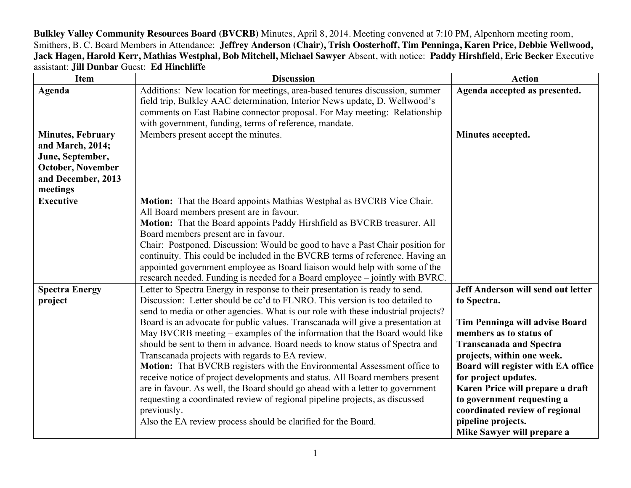**Bulkley Valley Community Resources Board (BVCRB)** Minutes, April 8, 2014. Meeting convened at 7:10 PM, Alpenhorn meeting room, Smithers, B. C. Board Members in Attendance: **Jeffrey Anderson (Chair), Trish Oosterhoff, Tim Penninga, Karen Price, Debbie Wellwood, Jack Hagen, Harold Kerr, Mathias Westphal, Bob Mitchell, Michael Sawyer** Absent, with notice: **Paddy Hirshfield, Eric Becker** Executive assistant: **Jill Dunbar** Guest: **Ed Hinchliffe**

| <b>Item</b>                                                                                                                    | <b>Discussion</b>                                                                                                                                                                                                                                                                                                                                                                                                                                                                                                                                                                                                                                                                                                                                                                                                                                                                                                                                               | <b>Action</b>                                                                                                                                                                                                                                                                                                                                                                                        |
|--------------------------------------------------------------------------------------------------------------------------------|-----------------------------------------------------------------------------------------------------------------------------------------------------------------------------------------------------------------------------------------------------------------------------------------------------------------------------------------------------------------------------------------------------------------------------------------------------------------------------------------------------------------------------------------------------------------------------------------------------------------------------------------------------------------------------------------------------------------------------------------------------------------------------------------------------------------------------------------------------------------------------------------------------------------------------------------------------------------|------------------------------------------------------------------------------------------------------------------------------------------------------------------------------------------------------------------------------------------------------------------------------------------------------------------------------------------------------------------------------------------------------|
| Agenda                                                                                                                         | Additions: New location for meetings, area-based tenures discussion, summer<br>field trip, Bulkley AAC determination, Interior News update, D. Wellwood's<br>comments on East Babine connector proposal. For May meeting: Relationship<br>with government, funding, terms of reference, mandate.                                                                                                                                                                                                                                                                                                                                                                                                                                                                                                                                                                                                                                                                | Agenda accepted as presented.                                                                                                                                                                                                                                                                                                                                                                        |
| <b>Minutes, February</b><br>and March, 2014;<br>June, September,<br><b>October, November</b><br>and December, 2013<br>meetings | Members present accept the minutes.                                                                                                                                                                                                                                                                                                                                                                                                                                                                                                                                                                                                                                                                                                                                                                                                                                                                                                                             | Minutes accepted.                                                                                                                                                                                                                                                                                                                                                                                    |
| <b>Executive</b>                                                                                                               | Motion: That the Board appoints Mathias Westphal as BVCRB Vice Chair.<br>All Board members present are in favour.<br>Motion: That the Board appoints Paddy Hirshfield as BVCRB treasurer. All<br>Board members present are in favour.<br>Chair: Postponed. Discussion: Would be good to have a Past Chair position for<br>continuity. This could be included in the BVCRB terms of reference. Having an<br>appointed government employee as Board liaison would help with some of the<br>research needed. Funding is needed for a Board employee – jointly with BVRC.                                                                                                                                                                                                                                                                                                                                                                                           |                                                                                                                                                                                                                                                                                                                                                                                                      |
| <b>Spectra Energy</b><br>project                                                                                               | Letter to Spectra Energy in response to their presentation is ready to send.<br>Discussion: Letter should be cc'd to FLNRO. This version is too detailed to<br>send to media or other agencies. What is our role with these industrial projects?<br>Board is an advocate for public values. Transcanada will give a presentation at<br>May BVCRB meeting – examples of the information that the Board would like<br>should be sent to them in advance. Board needs to know status of Spectra and<br>Transcanada projects with regards to EA review.<br>Motion: That BVCRB registers with the Environmental Assessment office to<br>receive notice of project developments and status. All Board members present<br>are in favour. As well, the Board should go ahead with a letter to government<br>requesting a coordinated review of regional pipeline projects, as discussed<br>previously.<br>Also the EA review process should be clarified for the Board. | Jeff Anderson will send out letter<br>to Spectra.<br>Tim Penninga will advise Board<br>members as to status of<br><b>Transcanada and Spectra</b><br>projects, within one week.<br>Board will register with EA office<br>for project updates.<br>Karen Price will prepare a draft<br>to government requesting a<br>coordinated review of regional<br>pipeline projects.<br>Mike Sawyer will prepare a |